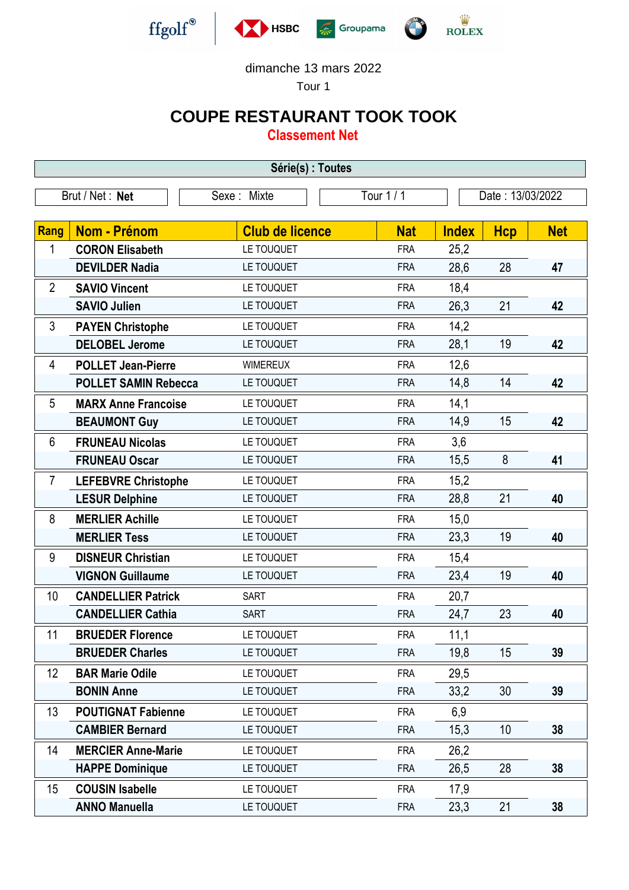

dimanche 13 mars 2022

Tour 1

## **COUPE RESTAURANT TOOK TOOK**

**Classement Net**

| Série(s) : Toutes |                             |                        |            |                  |            |            |  |  |  |
|-------------------|-----------------------------|------------------------|------------|------------------|------------|------------|--|--|--|
| Brut / Net: Net   |                             | Sexe: Mixte            | Tour 1 / 1 | Date: 13/03/2022 |            |            |  |  |  |
|                   |                             |                        |            |                  |            |            |  |  |  |
| Rang              | <b>Nom - Prénom</b>         | <b>Club de licence</b> | <b>Nat</b> | <b>Index</b>     | <b>Hcp</b> | <b>Net</b> |  |  |  |
| 1                 | <b>CORON Elisabeth</b>      | LE TOUQUET             | <b>FRA</b> | 25,2             |            |            |  |  |  |
|                   | <b>DEVILDER Nadia</b>       | LE TOUQUET             | <b>FRA</b> | 28,6             | 28         | 47         |  |  |  |
| $\overline{2}$    | <b>SAVIO Vincent</b>        | LE TOUQUET             | <b>FRA</b> | 18,4             |            |            |  |  |  |
|                   | <b>SAVIO Julien</b>         | LE TOUQUET             | <b>FRA</b> | 26,3             | 21         | 42         |  |  |  |
| 3                 | <b>PAYEN Christophe</b>     | LE TOUQUET             | <b>FRA</b> | 14,2             |            |            |  |  |  |
|                   | <b>DELOBEL Jerome</b>       | LE TOUQUET             | <b>FRA</b> | 28,1             | 19         | 42         |  |  |  |
| 4                 | <b>POLLET Jean-Pierre</b>   | <b>WIMEREUX</b>        | <b>FRA</b> | 12,6             |            |            |  |  |  |
|                   | <b>POLLET SAMIN Rebecca</b> | LE TOUQUET             | <b>FRA</b> | 14,8             | 14         | 42         |  |  |  |
| 5                 | <b>MARX Anne Francoise</b>  | LE TOUQUET             | <b>FRA</b> | 14,1             |            |            |  |  |  |
|                   | <b>BEAUMONT Guy</b>         | LE TOUQUET             | <b>FRA</b> | 14,9             | 15         | 42         |  |  |  |
| 6                 | <b>FRUNEAU Nicolas</b>      | LE TOUQUET             | <b>FRA</b> | 3,6              |            |            |  |  |  |
|                   | <b>FRUNEAU Oscar</b>        | LE TOUQUET             | <b>FRA</b> | 15,5             | 8          | 41         |  |  |  |
| $\overline{7}$    | <b>LEFEBVRE Christophe</b>  | LE TOUQUET             | <b>FRA</b> | 15,2             |            |            |  |  |  |
|                   | <b>LESUR Delphine</b>       | LE TOUQUET             | <b>FRA</b> | 28,8             | 21         | 40         |  |  |  |
| 8                 | <b>MERLIER Achille</b>      | LE TOUQUET             | <b>FRA</b> | 15,0             |            |            |  |  |  |
|                   | <b>MERLIER Tess</b>         | LE TOUQUET             | <b>FRA</b> | 23,3             | 19         | 40         |  |  |  |
| 9                 | <b>DISNEUR Christian</b>    | LE TOUQUET             | <b>FRA</b> | 15,4             |            |            |  |  |  |
|                   | <b>VIGNON Guillaume</b>     | LE TOUQUET             | <b>FRA</b> | 23,4             | 19         | 40         |  |  |  |
| 10                | <b>CANDELLIER Patrick</b>   | <b>SART</b>            | <b>FRA</b> | 20,7             |            |            |  |  |  |
|                   | <b>CANDELLIER Cathia</b>    | <b>SART</b>            | <b>FRA</b> | 24,7             | 23         | 40         |  |  |  |
| 11                | <b>BRUEDER Florence</b>     | LE TOUQUET             | <b>FRA</b> | 11,1             |            |            |  |  |  |
|                   | <b>BRUEDER Charles</b>      | LE TOUQUET             | <b>FRA</b> | 19,8             | 15         | 39         |  |  |  |
| 12                | <b>BAR Marie Odile</b>      | LE TOUQUET             | <b>FRA</b> | 29,5             |            |            |  |  |  |
|                   | <b>BONIN Anne</b>           | LE TOUQUET             | <b>FRA</b> | 33,2             | 30         | 39         |  |  |  |
| 13                | <b>POUTIGNAT Fabienne</b>   | LE TOUQUET             | <b>FRA</b> | 6,9              |            |            |  |  |  |
|                   | <b>CAMBIER Bernard</b>      | LE TOUQUET             | <b>FRA</b> | 15,3             | 10         | 38         |  |  |  |
| 14                | <b>MERCIER Anne-Marie</b>   | LE TOUQUET             | <b>FRA</b> | 26,2             |            |            |  |  |  |
|                   | <b>HAPPE Dominique</b>      | LE TOUQUET             | <b>FRA</b> | 26,5             | 28         | 38         |  |  |  |
| 15                | <b>COUSIN Isabelle</b>      | LE TOUQUET             | <b>FRA</b> | 17,9             |            |            |  |  |  |
|                   | <b>ANNO Manuella</b>        | LE TOUQUET             | <b>FRA</b> | 23,3             | 21         | 38         |  |  |  |